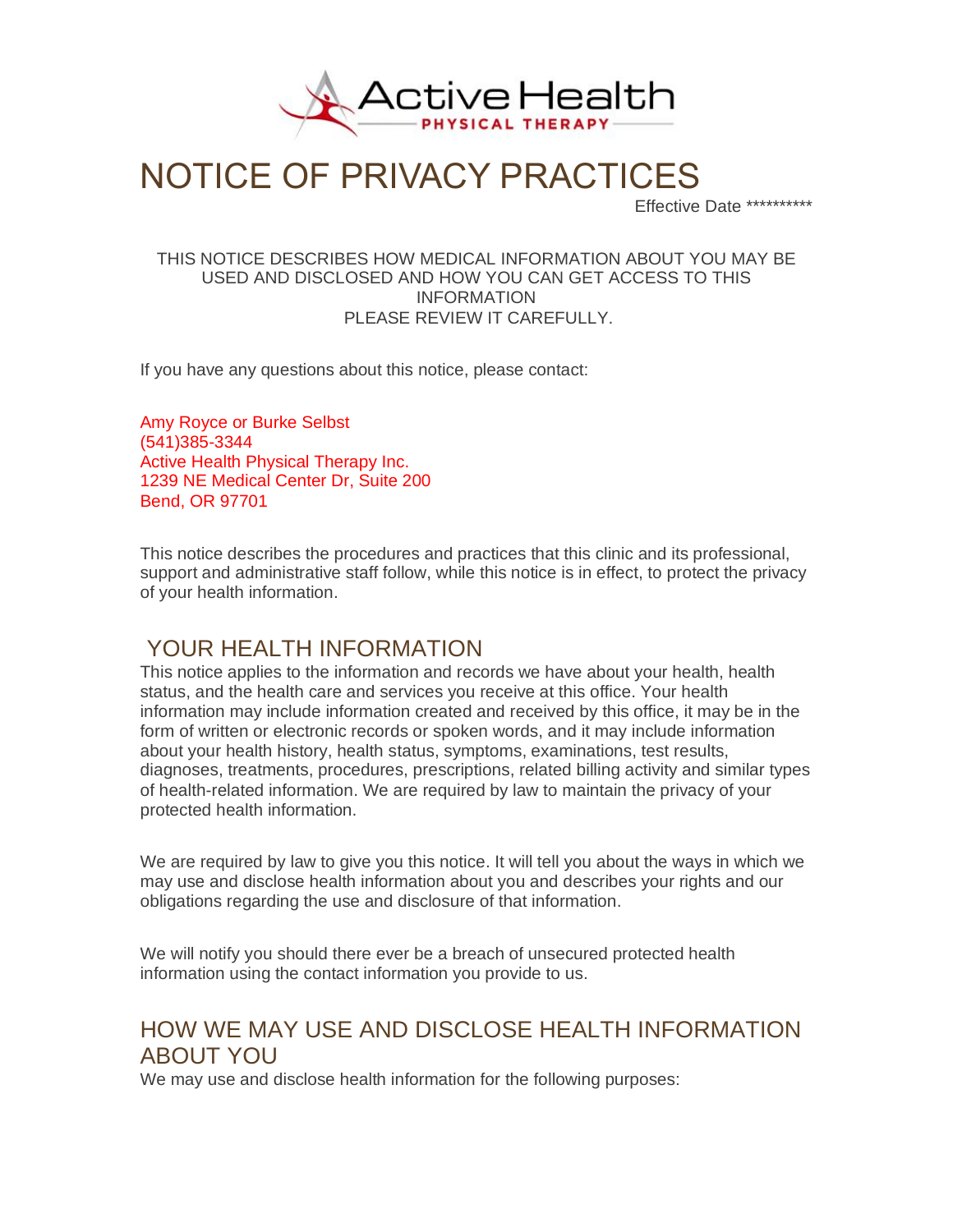

# NOTICE OF PRIVACY PRACTICES

Effective Date \*\*\*\*\*\*\*\*\*\*

#### THIS NOTICE DESCRIBES HOW MEDICAL INFORMATION ABOUT YOU MAY BE USED AND DISCLOSED AND HOW YOU CAN GET ACCESS TO THIS INFORMATION PLEASE REVIEW IT CAREFULLY.

If you have any questions about this notice, please contact:

Amy Royce or Burke Selbst (541)385-3344 Active Health Physical Therapy Inc. 1239 NE Medical Center Dr, Suite 200 Bend, OR 97701

This notice describes the procedures and practices that this clinic and its professional, support and administrative staff follow, while this notice is in effect, to protect the privacy of your health information.

#### YOUR HEALTH INFORMATION

This notice applies to the information and records we have about your health, health status, and the health care and services you receive at this office. Your health information may include information created and received by this office, it may be in the form of written or electronic records or spoken words, and it may include information about your health history, health status, symptoms, examinations, test results, diagnoses, treatments, procedures, prescriptions, related billing activity and similar types of health-related information. We are required by law to maintain the privacy of your protected health information.

We are required by law to give you this notice. It will tell you about the ways in which we may use and disclose health information about you and describes your rights and our obligations regarding the use and disclosure of that information.

We will notify you should there ever be a breach of unsecured protected health information using the contact information you provide to us.

### HOW WE MAY USE AND DISCLOSE HEALTH INFORMATION ABOUT YOU

We may use and disclose health information for the following purposes: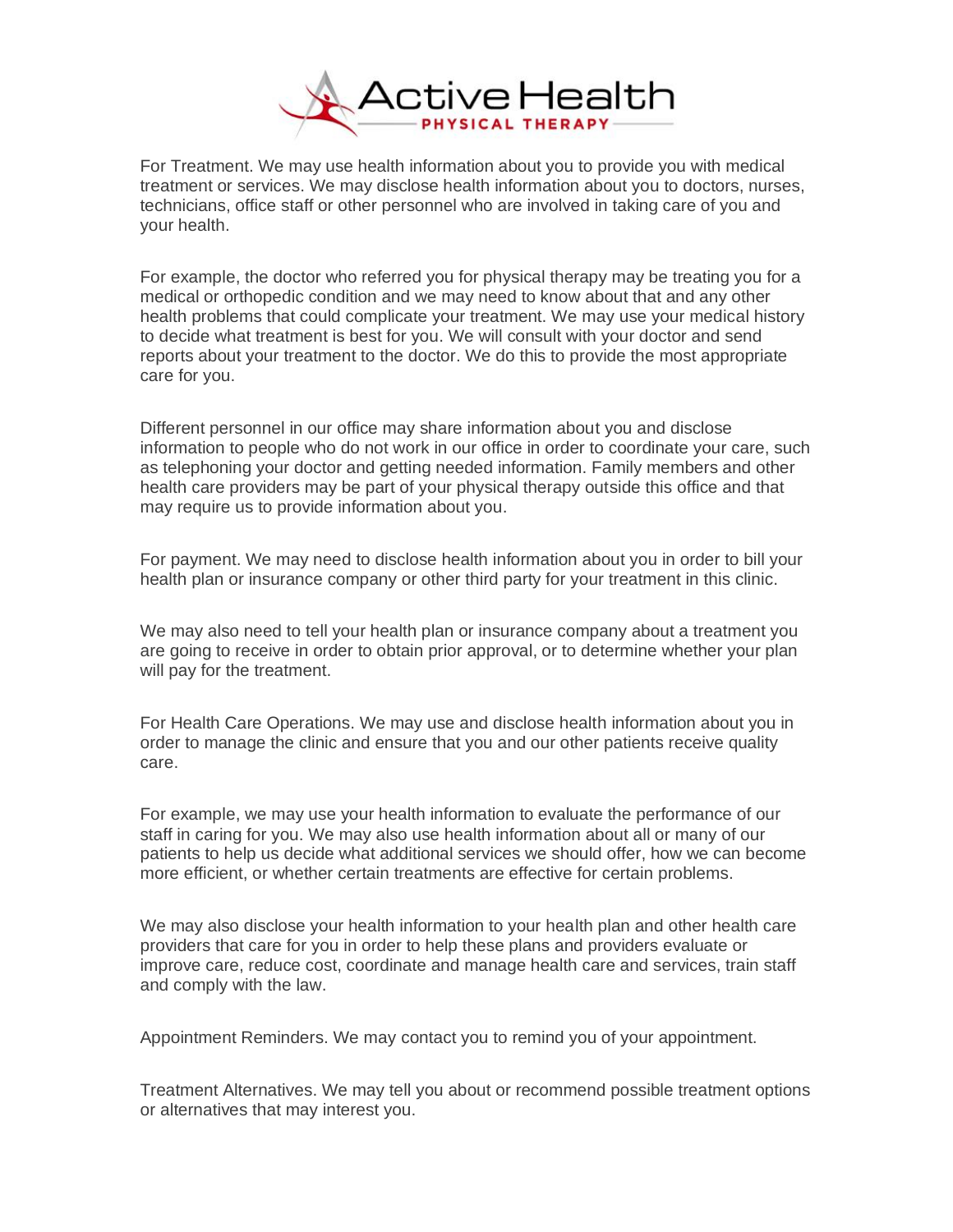

For Treatment. We may use health information about you to provide you with medical treatment or services. We may disclose health information about you to doctors, nurses, technicians, office staff or other personnel who are involved in taking care of you and your health.

For example, the doctor who referred you for physical therapy may be treating you for a medical or orthopedic condition and we may need to know about that and any other health problems that could complicate your treatment. We may use your medical history to decide what treatment is best for you. We will consult with your doctor and send reports about your treatment to the doctor. We do this to provide the most appropriate care for you.

Different personnel in our office may share information about you and disclose information to people who do not work in our office in order to coordinate your care, such as telephoning your doctor and getting needed information. Family members and other health care providers may be part of your physical therapy outside this office and that may require us to provide information about you.

For payment. We may need to disclose health information about you in order to bill your health plan or insurance company or other third party for your treatment in this clinic.

We may also need to tell your health plan or insurance company about a treatment you are going to receive in order to obtain prior approval, or to determine whether your plan will pay for the treatment.

For Health Care Operations. We may use and disclose health information about you in order to manage the clinic and ensure that you and our other patients receive quality care.

For example, we may use your health information to evaluate the performance of our staff in caring for you. We may also use health information about all or many of our patients to help us decide what additional services we should offer, how we can become more efficient, or whether certain treatments are effective for certain problems.

We may also disclose your health information to your health plan and other health care providers that care for you in order to help these plans and providers evaluate or improve care, reduce cost, coordinate and manage health care and services, train staff and comply with the law.

Appointment Reminders. We may contact you to remind you of your appointment.

Treatment Alternatives. We may tell you about or recommend possible treatment options or alternatives that may interest you.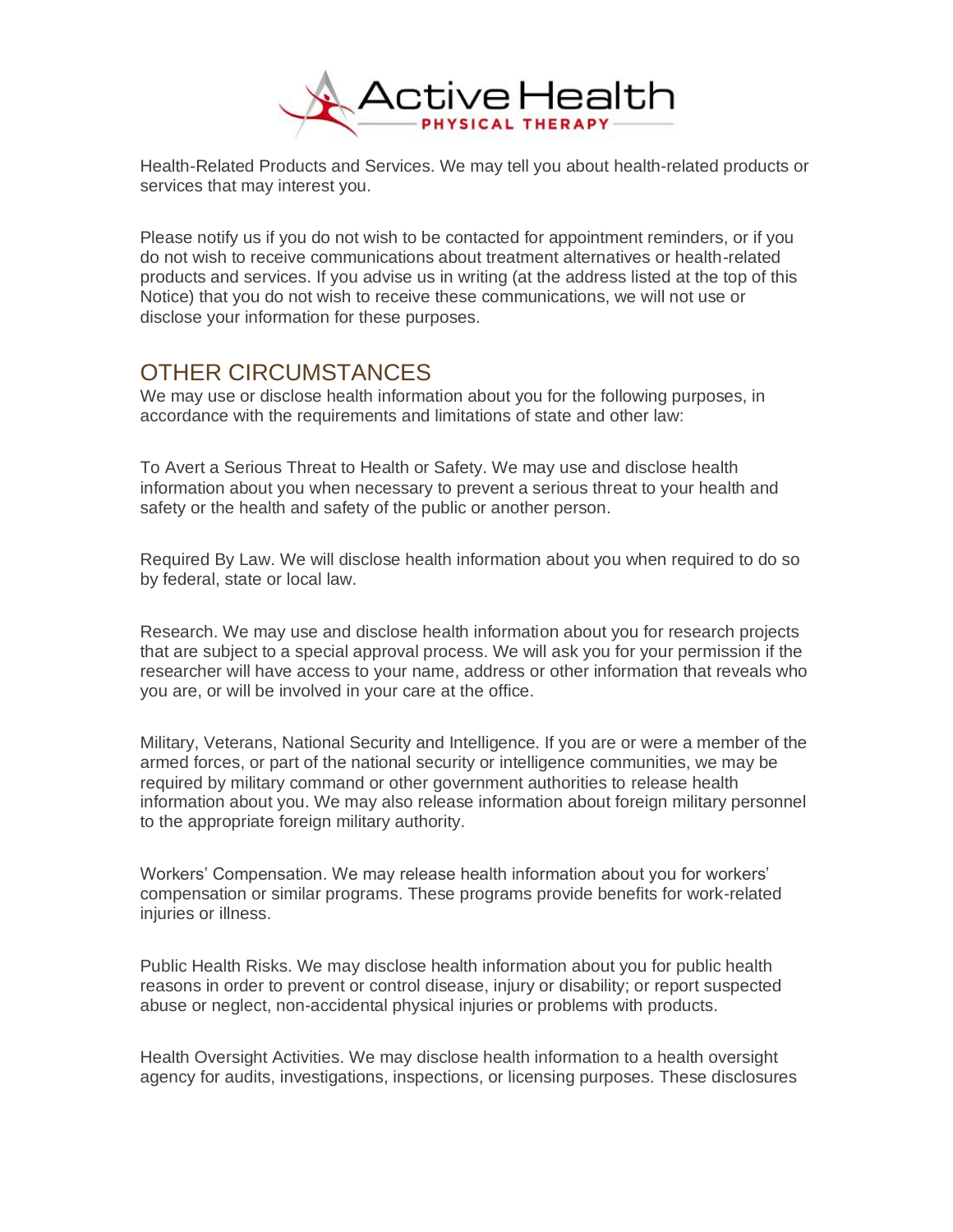

Health-Related Products and Services. We may tell you about health-related products or services that may interest you.

Please notify us if you do not wish to be contacted for appointment reminders, or if you do not wish to receive communications about treatment alternatives or health-related products and services. If you advise us in writing (at the address listed at the top of this Notice) that you do not wish to receive these communications, we will not use or disclose your information for these purposes.

#### OTHER CIRCUMSTANCES

We may use or disclose health information about you for the following purposes, in accordance with the requirements and limitations of state and other law:

To Avert a Serious Threat to Health or Safety. We may use and disclose health information about you when necessary to prevent a serious threat to your health and safety or the health and safety of the public or another person.

Required By Law. We will disclose health information about you when required to do so by federal, state or local law.

Research. We may use and disclose health information about you for research projects that are subject to a special approval process. We will ask you for your permission if the researcher will have access to your name, address or other information that reveals who you are, or will be involved in your care at the office.

Military, Veterans, National Security and Intelligence. If you are or were a member of the armed forces, or part of the national security or intelligence communities, we may be required by military command or other government authorities to release health information about you. We may also release information about foreign military personnel to the appropriate foreign military authority.

Workers' Compensation. We may release health information about you for workers' compensation or similar programs. These programs provide benefits for work-related injuries or illness.

Public Health Risks. We may disclose health information about you for public health reasons in order to prevent or control disease, injury or disability; or report suspected abuse or neglect, non-accidental physical injuries or problems with products.

Health Oversight Activities. We may disclose health information to a health oversight agency for audits, investigations, inspections, or licensing purposes. These disclosures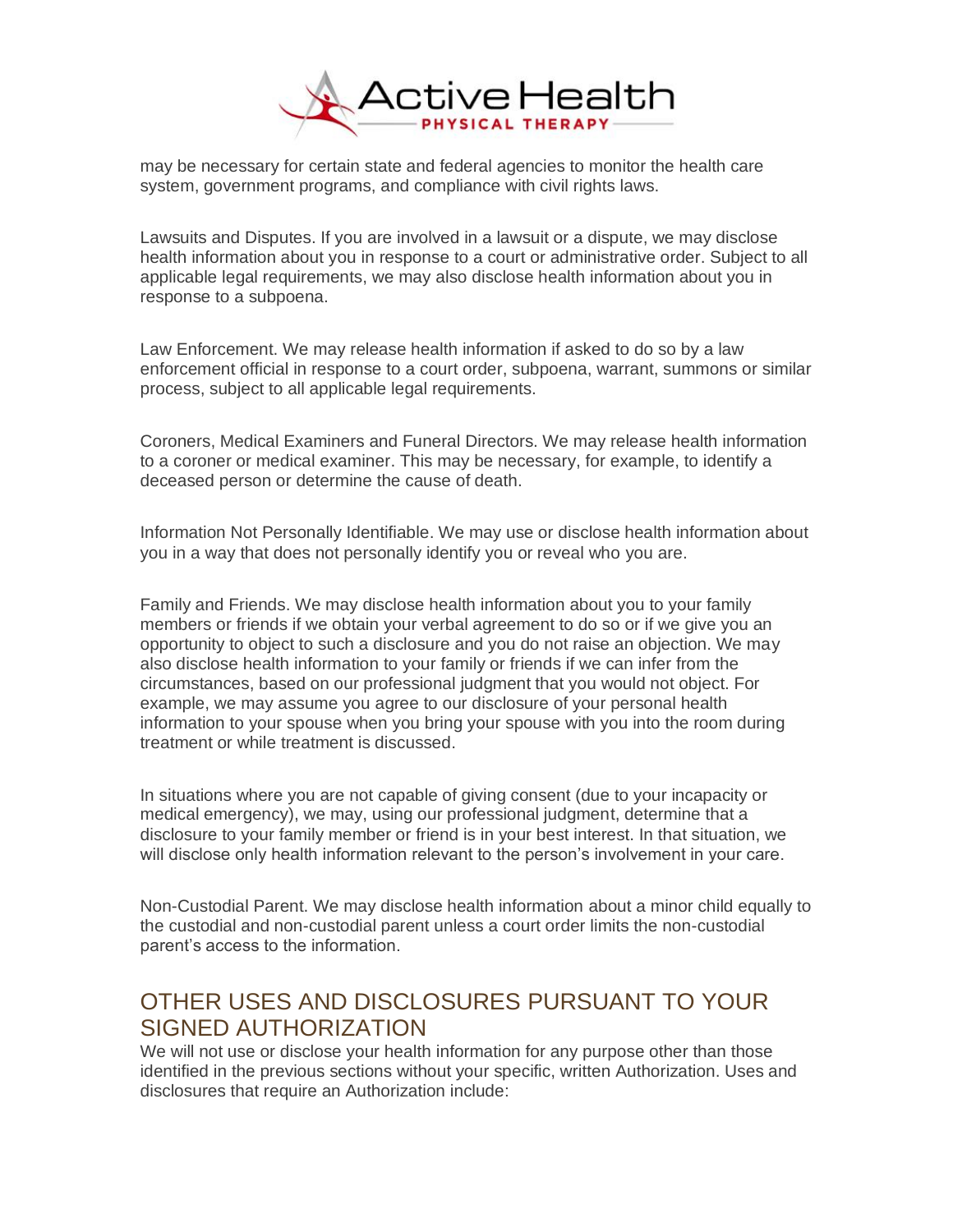

may be necessary for certain state and federal agencies to monitor the health care system, government programs, and compliance with civil rights laws.

Lawsuits and Disputes. If you are involved in a lawsuit or a dispute, we may disclose health information about you in response to a court or administrative order. Subject to all applicable legal requirements, we may also disclose health information about you in response to a subpoena.

Law Enforcement. We may release health information if asked to do so by a law enforcement official in response to a court order, subpoena, warrant, summons or similar process, subject to all applicable legal requirements.

Coroners, Medical Examiners and Funeral Directors. We may release health information to a coroner or medical examiner. This may be necessary, for example, to identify a deceased person or determine the cause of death.

Information Not Personally Identifiable. We may use or disclose health information about you in a way that does not personally identify you or reveal who you are.

Family and Friends. We may disclose health information about you to your family members or friends if we obtain your verbal agreement to do so or if we give you an opportunity to object to such a disclosure and you do not raise an objection. We may also disclose health information to your family or friends if we can infer from the circumstances, based on our professional judgment that you would not object. For example, we may assume you agree to our disclosure of your personal health information to your spouse when you bring your spouse with you into the room during treatment or while treatment is discussed.

In situations where you are not capable of giving consent (due to your incapacity or medical emergency), we may, using our professional judgment, determine that a disclosure to your family member or friend is in your best interest. In that situation, we will disclose only health information relevant to the person's involvement in your care.

Non-Custodial Parent. We may disclose health information about a minor child equally to the custodial and non-custodial parent unless a court order limits the non-custodial parent's access to the information.

## OTHER USES AND DISCLOSURES PURSUANT TO YOUR SIGNED AUTHORIZATION

We will not use or disclose your health information for any purpose other than those identified in the previous sections without your specific, written Authorization. Uses and disclosures that require an Authorization include: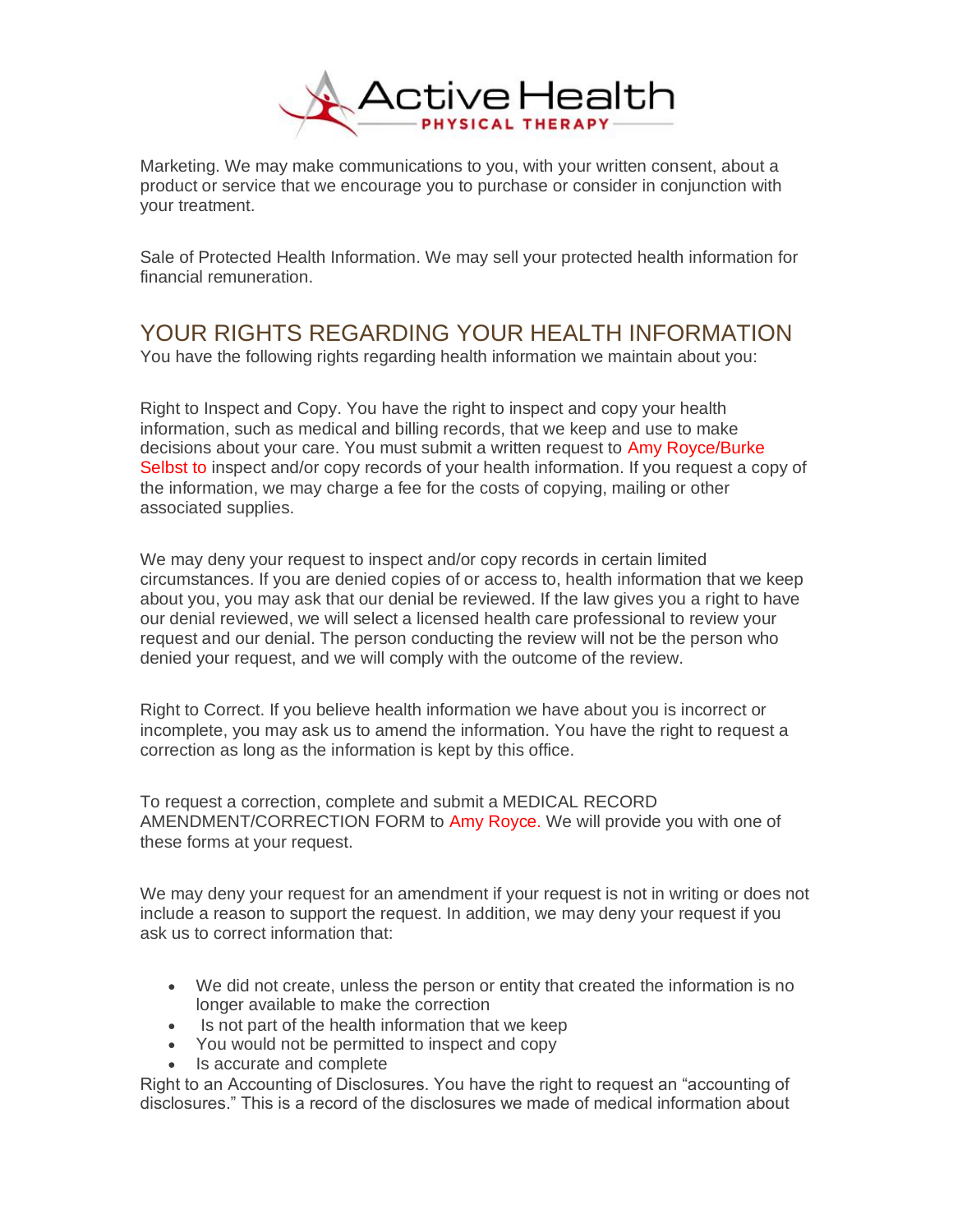

Marketing. We may make communications to you, with your written consent, about a product or service that we encourage you to purchase or consider in conjunction with your treatment.

Sale of Protected Health Information. We may sell your protected health information for financial remuneration.

# YOUR RIGHTS REGARDING YOUR HEALTH INFORMATION

You have the following rights regarding health information we maintain about you:

Right to Inspect and Copy. You have the right to inspect and copy your health information, such as medical and billing records, that we keep and use to make decisions about your care. You must submit a written request to Amy Royce/Burke Selbst to inspect and/or copy records of your health information. If you request a copy of the information, we may charge a fee for the costs of copying, mailing or other associated supplies.

We may deny your request to inspect and/or copy records in certain limited circumstances. If you are denied copies of or access to, health information that we keep about you, you may ask that our denial be reviewed. If the law gives you a right to have our denial reviewed, we will select a licensed health care professional to review your request and our denial. The person conducting the review will not be the person who denied your request, and we will comply with the outcome of the review.

Right to Correct. If you believe health information we have about you is incorrect or incomplete, you may ask us to amend the information. You have the right to request a correction as long as the information is kept by this office.

To request a correction, complete and submit a MEDICAL RECORD AMENDMENT/CORRECTION FORM to Amy Royce. We will provide you with one of these forms at your request.

We may deny your request for an amendment if your request is not in writing or does not include a reason to support the request. In addition, we may deny your request if you ask us to correct information that:

- We did not create, unless the person or entity that created the information is no longer available to make the correction
- Is not part of the health information that we keep
- You would not be permitted to inspect and copy
- Is accurate and complete

Right to an Accounting of Disclosures. You have the right to request an "accounting of disclosures." This is a record of the disclosures we made of medical information about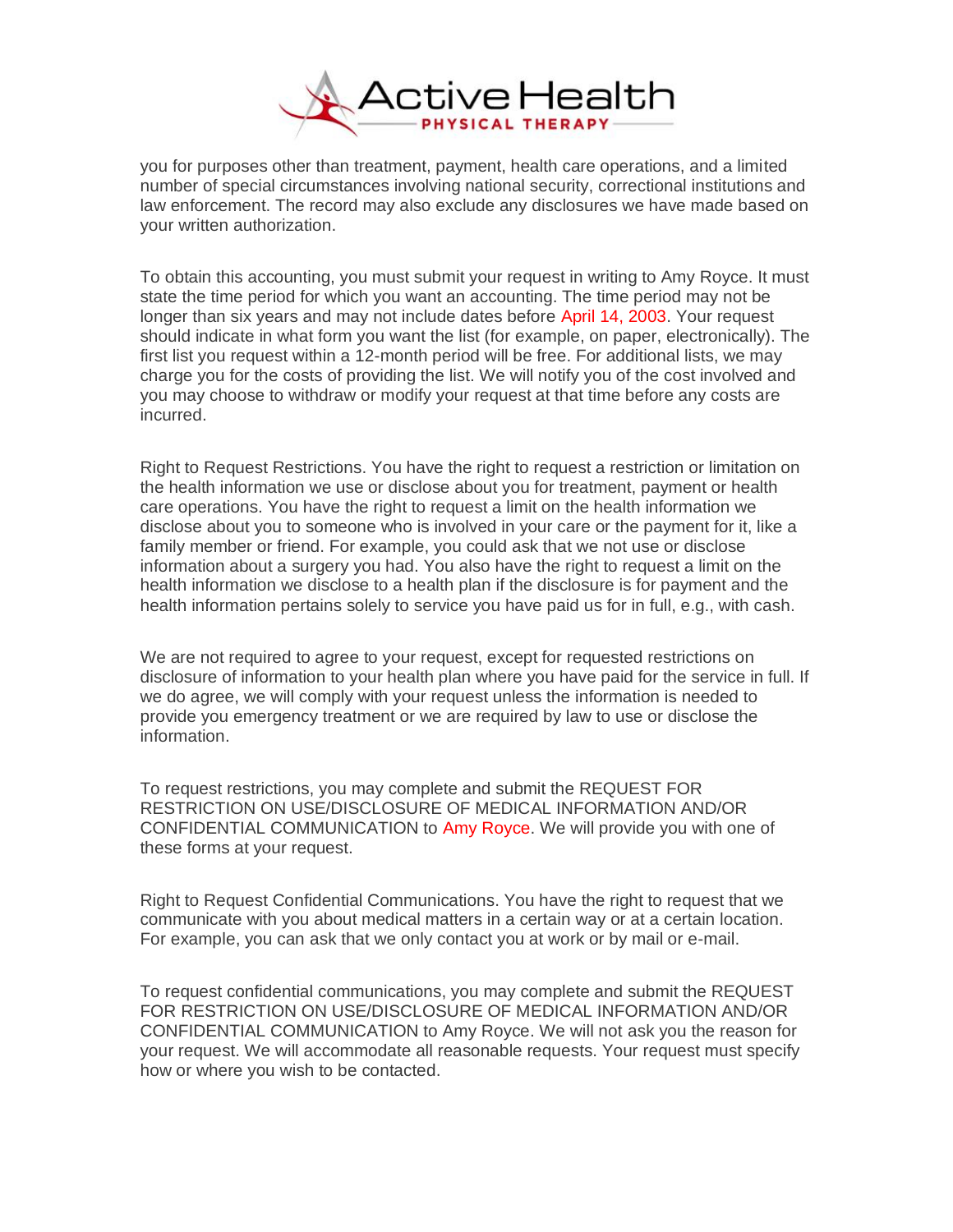

you for purposes other than treatment, payment, health care operations, and a limited number of special circumstances involving national security, correctional institutions and law enforcement. The record may also exclude any disclosures we have made based on your written authorization.

To obtain this accounting, you must submit your request in writing to Amy Royce. It must state the time period for which you want an accounting. The time period may not be longer than six years and may not include dates before April 14, 2003. Your request should indicate in what form you want the list (for example, on paper, electronically). The first list you request within a 12-month period will be free. For additional lists, we may charge you for the costs of providing the list. We will notify you of the cost involved and you may choose to withdraw or modify your request at that time before any costs are incurred.

Right to Request Restrictions. You have the right to request a restriction or limitation on the health information we use or disclose about you for treatment, payment or health care operations. You have the right to request a limit on the health information we disclose about you to someone who is involved in your care or the payment for it, like a family member or friend. For example, you could ask that we not use or disclose information about a surgery you had. You also have the right to request a limit on the health information we disclose to a health plan if the disclosure is for payment and the health information pertains solely to service you have paid us for in full, e.g., with cash.

We are not required to agree to your request, except for requested restrictions on disclosure of information to your health plan where you have paid for the service in full. If we do agree, we will comply with your request unless the information is needed to provide you emergency treatment or we are required by law to use or disclose the information.

To request restrictions, you may complete and submit the REQUEST FOR RESTRICTION ON USE/DISCLOSURE OF MEDICAL INFORMATION AND/OR CONFIDENTIAL COMMUNICATION to Amy Royce. We will provide you with one of these forms at your request.

Right to Request Confidential Communications. You have the right to request that we communicate with you about medical matters in a certain way or at a certain location. For example, you can ask that we only contact you at work or by mail or e-mail.

To request confidential communications, you may complete and submit the REQUEST FOR RESTRICTION ON USE/DISCLOSURE OF MEDICAL INFORMATION AND/OR CONFIDENTIAL COMMUNICATION to Amy Royce. We will not ask you the reason for your request. We will accommodate all reasonable requests. Your request must specify how or where you wish to be contacted.